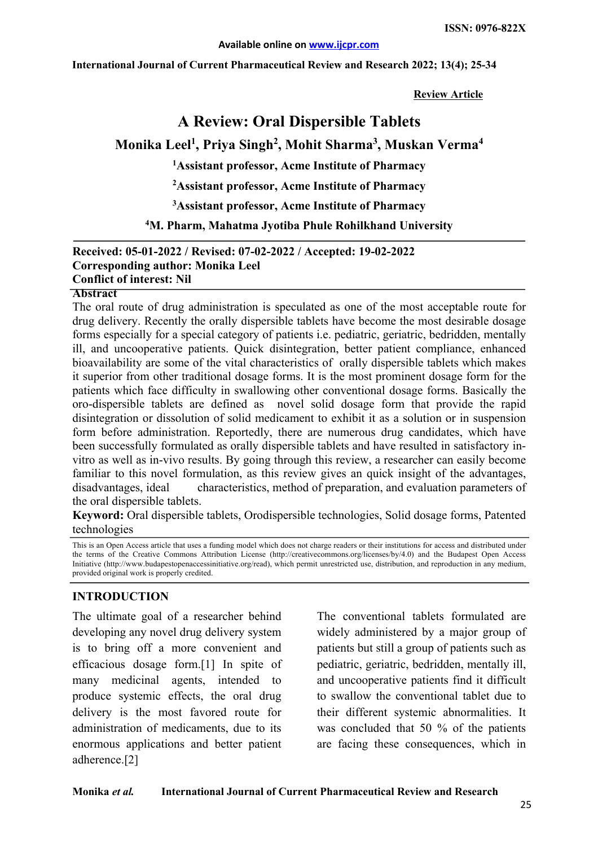**International Journal of Current Pharmaceutical Review and Research 2022; 13(4); 25-34**

**Review Article**

# **A Review: Oral Dispersible Tablets**

## **Monika Leel1 , Priya Singh2 , Mohit Sharma3 , Muskan Verma4**

**1 Assistant professor, Acme Institute of Pharmacy** 

**2 Assistant professor, Acme Institute of Pharmacy** 

**3 Assistant professor, Acme Institute of Pharmacy** 

**4 M. Pharm, Mahatma Jyotiba Phule Rohilkhand University** 

**Received: 05-01-2022 / Revised: 07-02-2022 / Accepted: 19-02-2022 Corresponding author: Monika Leel Conflict of interest: Nil**

#### **Abstract**

The oral route of drug administration is speculated as one of the most acceptable route for drug delivery. Recently the orally dispersible tablets have become the most desirable dosage forms especially for a special category of patients i.e. pediatric, geriatric, bedridden, mentally ill, and uncooperative patients. Quick disintegration, better patient compliance, enhanced bioavailability are some of the vital characteristics of orally dispersible tablets which makes it superior from other traditional dosage forms. It is the most prominent dosage form for the patients which face difficulty in swallowing other conventional dosage forms. Basically the oro-dispersible tablets are defined as novel solid dosage form that provide the rapid disintegration or dissolution of solid medicament to exhibit it as a solution or in suspension form before administration. Reportedly, there are numerous drug candidates, which have been successfully formulated as orally dispersible tablets and have resulted in satisfactory invitro as well as in-vivo results. By going through this review, a researcher can easily become familiar to this novel formulation, as this review gives an quick insight of the advantages, disadvantages, ideal characteristics, method of preparation, and evaluation parameters of the oral dispersible tablets.

**Keyword:** Oral dispersible tablets, Orodispersible technologies, Solid dosage forms, Patented technologies

This is an Open Access article that uses a funding model which does not charge readers or their institutions for access and distributed under the terms of the Creative Commons Attribution License (http://creativecommons.org/licenses/by/4.0) and the Budapest Open Access Initiative (http://www.budapestopenaccessinitiative.org/read), which permit unrestricted use, distribution, and reproduction in any medium, provided original work is properly credited.

#### **INTRODUCTION**

The ultimate goal of a researcher behind developing any novel drug delivery system is to bring off a more convenient and efficacious dosage form.[1] In spite of many medicinal agents, intended to produce systemic effects, the oral drug delivery is the most favored route for administration of medicaments, due to its enormous applications and better patient adherence.[2]

The conventional tablets formulated are widely administered by a major group of patients but still a group of patients such as pediatric, geriatric, bedridden, mentally ill, and uncooperative patients find it difficult to swallow the conventional tablet due to their different systemic abnormalities. It was concluded that 50 % of the patients are facing these consequences, which in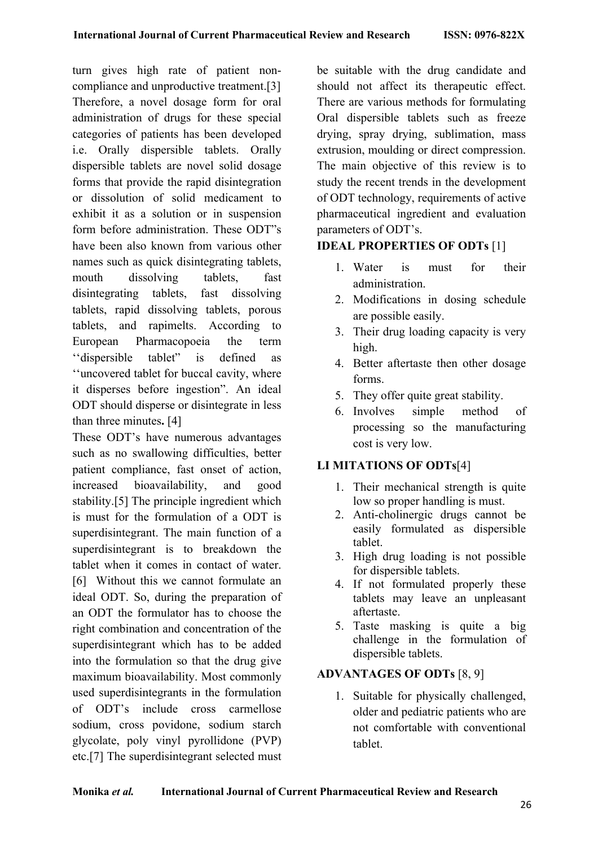turn gives high rate of patient noncompliance and unproductive treatment.[3] Therefore, a novel dosage form for oral administration of drugs for these special categories of patients has been developed i.e. Orally dispersible tablets. Orally dispersible tablets are novel solid dosage forms that provide the rapid disintegration or dissolution of solid medicament to exhibit it as a solution or in suspension form before administration. These ODT"s have been also known from various other names such as quick disintegrating tablets, mouth dissolving tablets, fast disintegrating tablets, fast dissolving tablets, rapid dissolving tablets, porous tablets, and rapimelts. According to European Pharmacopoeia the term ''dispersible tablet" is defined as ''uncovered tablet for buccal cavity, where it disperses before ingestion". An ideal ODT should disperse or disintegrate in less than three minutes**.** [4]

These ODT's have numerous advantages such as no swallowing difficulties, better patient compliance, fast onset of action, increased bioavailability, and good stability.[5] The principle ingredient which is must for the formulation of a ODT is superdisintegrant. The main function of a superdisintegrant is to breakdown the tablet when it comes in contact of water. [6] Without this we cannot formulate an ideal ODT. So, during the preparation of an ODT the formulator has to choose the right combination and concentration of the superdisintegrant which has to be added into the formulation so that the drug give maximum bioavailability. Most commonly used superdisintegrants in the formulation of ODT's include cross carmellose sodium, cross povidone, sodium starch glycolate, poly vinyl pyrollidone (PVP) etc.[7] The superdisintegrant selected must

be suitable with the drug candidate and should not affect its therapeutic effect. There are various methods for formulating Oral dispersible tablets such as freeze drying, spray drying, sublimation, mass extrusion, moulding or direct compression. The main objective of this review is to study the recent trends in the development of ODT technology, requirements of active pharmaceutical ingredient and evaluation parameters of ODT's.

### **IDEAL PROPERTIES OF ODTs** [1]

- 1. Water is must for their administration.
- 2. Modifications in dosing schedule are possible easily.
- 3. Their drug loading capacity is very high.
- 4. Better aftertaste then other dosage forms.
- 5. They offer quite great stability.
- 6. Involves simple method of processing so the manufacturing cost is very low.

#### **LI MITATIONS OF ODTs**[4]

- 1. Their mechanical strength is quite low so proper handling is must.
- 2. Anti-cholinergic drugs cannot be easily formulated as dispersible tablet.
- 3. High drug loading is not possible for dispersible tablets.
- 4. If not formulated properly these tablets may leave an unpleasant aftertaste.
- 5. Taste masking is quite a big challenge in the formulation of dispersible tablets.

### **ADVANTAGES OF ODTs** [8, 9]

1. Suitable for physically challenged, older and pediatric patients who are not comfortable with conventional tablet.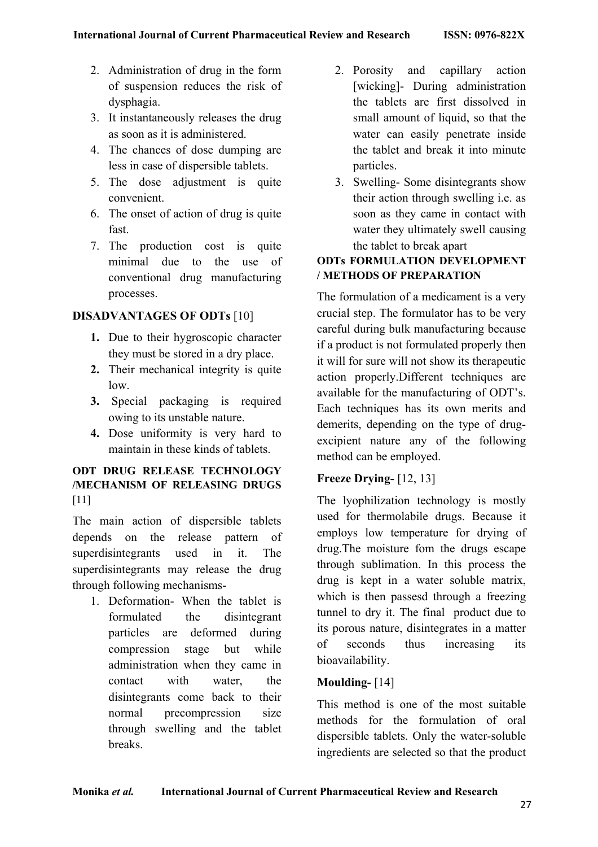- 2. Administration of drug in the form of suspension reduces the risk of dysphagia.
- 3. It instantaneously releases the drug as soon as it is administered.
- 4. The chances of dose dumping are less in case of dispersible tablets.
- 5. The dose adjustment is quite convenient.
- 6. The onset of action of drug is quite fast.
- 7. The production cost is quite minimal due to the use of conventional drug manufacturing processes.

## **DISADVANTAGES OF ODTs** [10]

- **1.** Due to their hygroscopic character they must be stored in a dry place.
- **2.** Their mechanical integrity is quite low.
- **3.** Special packaging is required owing to its unstable nature.
- **4.** Dose uniformity is very hard to maintain in these kinds of tablets.

#### **ODT DRUG RELEASE TECHNOLOGY /MECHANISM OF RELEASING DRUGS**  [11]

The main action of dispersible tablets depends on the release pattern of superdisintegrants used in it. The superdisintegrants may release the drug through following mechanisms-

1. Deformation- When the tablet is formulated the disintegrant particles are deformed during compression stage but while administration when they came in contact with water, the disintegrants come back to their normal precompression size through swelling and the tablet breaks.

- 2. Porosity and capillary action [wicking]- During administration the tablets are first dissolved in small amount of liquid, so that the water can easily penetrate inside the tablet and break it into minute particles.
- 3. Swelling- Some disintegrants show their action through swelling i.e. as soon as they came in contact with water they ultimately swell causing the tablet to break apart

### **ODTs FORMULATION DEVELOPMENT / METHODS OF PREPARATION**

The formulation of a medicament is a very crucial step. The formulator has to be very careful during bulk manufacturing because if a product is not formulated properly then it will for sure will not show its therapeutic action properly.Different techniques are available for the manufacturing of ODT's. Each techniques has its own merits and demerits, depending on the type of drugexcipient nature any of the following method can be employed.

### **Freeze Drying-** [12, 13]

The lyophilization technology is mostly used for thermolabile drugs. Because it employs low temperature for drying of drug.The moisture fom the drugs escape through sublimation. In this process the drug is kept in a water soluble matrix, which is then passesd through a freezing tunnel to dry it. The final product due to its porous nature, disintegrates in a matter of seconds thus increasing its bioavailability.

### **Moulding-** [14]

This method is one of the most suitable methods for the formulation of oral dispersible tablets. Only the water-soluble ingredients are selected so that the product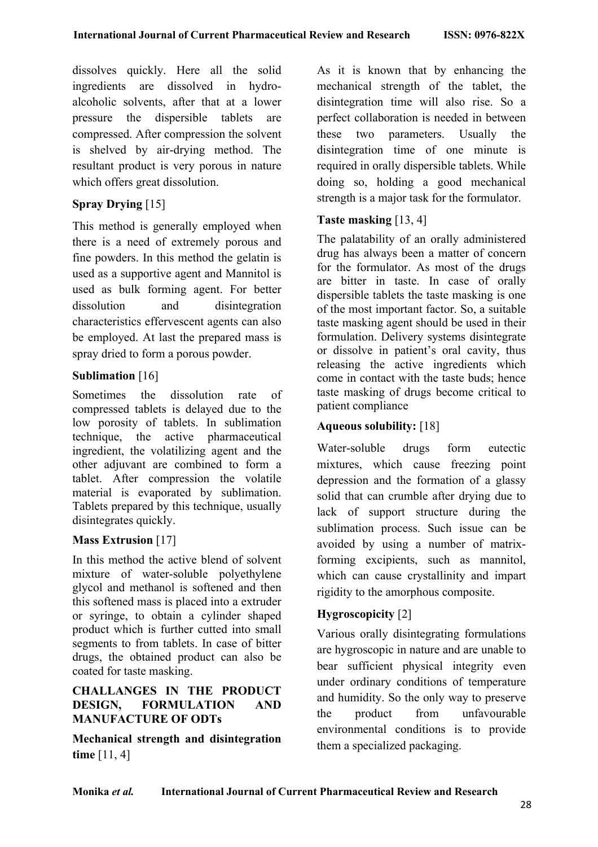dissolves quickly. Here all the solid ingredients are dissolved in hydroalcoholic solvents, after that at a lower pressure the dispersible tablets are compressed. After compression the solvent is shelved by air-drying method. The resultant product is very porous in nature which offers great dissolution.

### **Spray Drying** [15]

This method is generally employed when there is a need of extremely porous and fine powders. In this method the gelatin is used as a supportive agent and Mannitol is used as bulk forming agent. For better dissolution and disintegration characteristics effervescent agents can also be employed. At last the prepared mass is spray dried to form a porous powder.

### **Sublimation** [16]

Sometimes the dissolution rate of compressed tablets is delayed due to the low porosity of tablets. In sublimation technique, the active pharmaceutical ingredient, the volatilizing agent and the other adjuvant are combined to form a tablet. After compression the volatile material is evaporated by sublimation. Tablets prepared by this technique, usually disintegrates quickly.

#### **Mass Extrusion** [17]

In this method the active blend of solvent mixture of water-soluble polyethylene glycol and methanol is softened and then this softened mass is placed into a extruder or syringe, to obtain a cylinder shaped product which is further cutted into small segments to from tablets. In case of bitter drugs, the obtained product can also be coated for taste masking.

### **CHALLANGES IN THE PRODUCT DESIGN, FORMULATION AND MANUFACTURE OF ODTs**

**Mechanical strength and disintegration time** [11, 4]

As it is known that by enhancing the mechanical strength of the tablet, the disintegration time will also rise. So a perfect collaboration is needed in between these two parameters. Usually the disintegration time of one minute is required in orally dispersible tablets. While doing so, holding a good mechanical strength is a major task for the formulator.

### **Taste masking** [13, 4]

The palatability of an orally administered drug has always been a matter of concern for the formulator. As most of the drugs are bitter in taste. In case of orally dispersible tablets the taste masking is one of the most important factor. So, a suitable taste masking agent should be used in their formulation. Delivery systems disintegrate or dissolve in patient's oral cavity, thus releasing the active ingredients which come in contact with the taste buds; hence taste masking of drugs become critical to patient compliance

### **Aqueous solubility:** [18]

Water-soluble drugs form eutectic mixtures, which cause freezing point depression and the formation of a glassy solid that can crumble after drying due to lack of support structure during the sublimation process. Such issue can be avoided by using a number of matrixforming excipients, such as mannitol, which can cause crystallinity and impart rigidity to the amorphous composite.

### **Hygroscopicity** [2]

Various orally disintegrating formulations are hygroscopic in nature and are unable to bear sufficient physical integrity even under ordinary conditions of temperature and humidity. So the only way to preserve the product from unfavourable environmental conditions is to provide them a specialized packaging.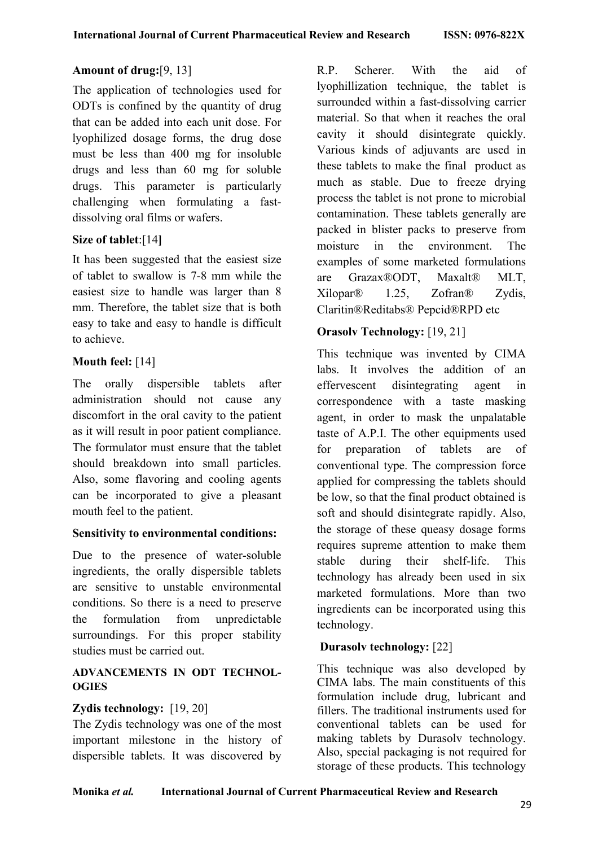### **Amount of drug:**[9, 13]

The application of technologies used for ODTs is confined by the quantity of drug that can be added into each unit dose. For lyophilized dosage forms, the drug dose must be less than 400 mg for insoluble drugs and less than 60 mg for soluble drugs. This parameter is particularly challenging when formulating a fastdissolving oral films or wafers.

### **Size of tablet**:[14**]**

It has been suggested that the easiest size of tablet to swallow is 7-8 mm while the easiest size to handle was larger than 8 mm. Therefore, the tablet size that is both easy to take and easy to handle is difficult to achieve.

### **Mouth feel:** [14]

The orally dispersible tablets after administration should not cause any discomfort in the oral cavity to the patient as it will result in poor patient compliance. The formulator must ensure that the tablet should breakdown into small particles. Also, some flavoring and cooling agents can be incorporated to give a pleasant mouth feel to the patient.

#### **Sensitivity to environmental conditions:**

Due to the presence of water-soluble ingredients, the orally dispersible tablets are sensitive to unstable environmental conditions. So there is a need to preserve the formulation from unpredictable surroundings. For this proper stability studies must be carried out.

#### **ADVANCEMENTS IN ODT TECHNOL-OGIES**

### **Zydis technology:** [19, 20]

The Zydis technology was one of the most important milestone in the history of dispersible tablets. It was discovered by

R.P. Scherer. With the aid of lyophillization technique, the tablet is surrounded within a fast-dissolving carrier material. So that when it reaches the oral cavity it should disintegrate quickly. Various kinds of adjuvants are used in these tablets to make the final product as much as stable. Due to freeze drying process the tablet is not prone to microbial contamination. These tablets generally are packed in blister packs to preserve from moisture in the environment. The examples of some marketed formulations are Grazax®ODT, Maxalt® MLT, Xilopar® 1.25, Zofran® Zydis, Claritin®Reditabs® Pepcid®RPD etc

### **Orasolv Technology:** [19, 21]

This technique was invented by CIMA labs. It involves the addition of an effervescent disintegrating agent in correspondence with a taste masking agent, in order to mask the unpalatable taste of A.P.I. The other equipments used for preparation of tablets are of conventional type. The compression force applied for compressing the tablets should be low, so that the final product obtained is soft and should disintegrate rapidly. Also, the storage of these queasy dosage forms requires supreme attention to make them stable during their shelf-life. This technology has already been used in six marketed formulations. More than two ingredients can be incorporated using this technology.

### **Durasolv technology:** [22]

This technique was also developed by CIMA labs. The main constituents of this formulation include drug, lubricant and fillers. The traditional instruments used for conventional tablets can be used for making tablets by Durasolv technology. Also, special packaging is not required for storage of these products. This technology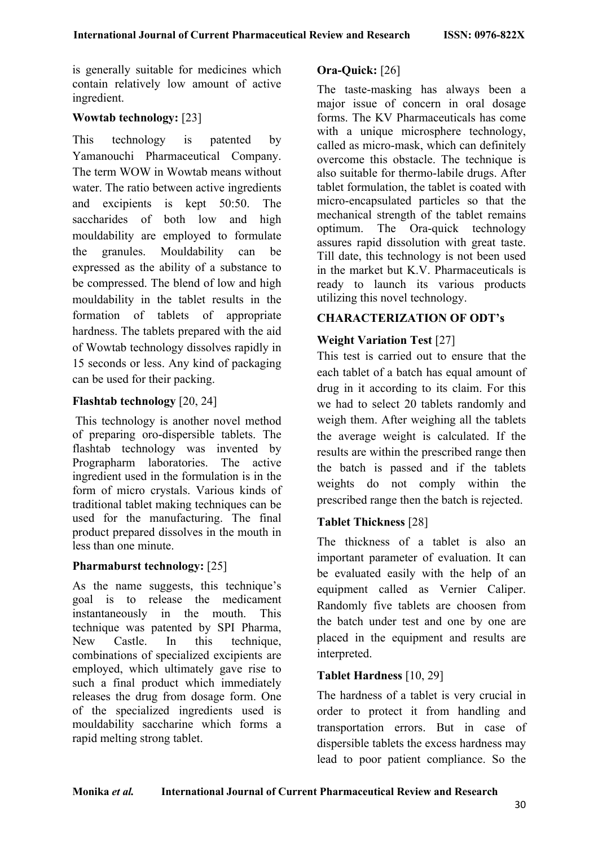is generally suitable for medicines which contain relatively low amount of active ingredient.

### **Wowtab technology:** [23]

This technology is patented by Yamanouchi Pharmaceutical Company. The term WOW in Wowtab means without water. The ratio between active ingredients and excipients is kept 50:50. The saccharides of both low and high mouldability are employed to formulate the granules. Mouldability can be expressed as the ability of a substance to be compressed. The blend of low and high mouldability in the tablet results in the formation of tablets of appropriate hardness. The tablets prepared with the aid of Wowtab technology dissolves rapidly in 15 seconds or less. Any kind of packaging can be used for their packing.

#### **Flashtab technology** [20, 24]

This technology is another novel method of preparing oro-dispersible tablets. The flashtab technology was invented by Prographarm laboratories. The active ingredient used in the formulation is in the form of micro crystals. Various kinds of traditional tablet making techniques can be used for the manufacturing. The final product prepared dissolves in the mouth in less than one minute.

#### **Pharmaburst technology:** [25]

As the name suggests, this technique's goal is to release the medicament instantaneously in the mouth. This technique was patented by SPI Pharma, New Castle. In this technique, combinations of specialized excipients are employed, which ultimately gave rise to such a final product which immediately releases the drug from dosage form. One of the specialized ingredients used is mouldability saccharine which forms a rapid melting strong tablet.

### **Ora-Quick:** [26]

The taste-masking has always been a major issue of concern in oral dosage forms. The KV Pharmaceuticals has come with a unique microsphere technology, called as micro-mask, which can definitely overcome this obstacle. The technique is also suitable for thermo-labile drugs. After tablet formulation, the tablet is coated with micro-encapsulated particles so that the mechanical strength of the tablet remains optimum. The Ora-quick technology assures rapid dissolution with great taste. Till date, this technology is not been used in the market but K.V. Pharmaceuticals is ready to launch its various products utilizing this novel technology.

### **CHARACTERIZATION OF ODT's**

## **Weight Variation Test** [27]

This test is carried out to ensure that the each tablet of a batch has equal amount of drug in it according to its claim. For this we had to select 20 tablets randomly and weigh them. After weighing all the tablets the average weight is calculated. If the results are within the prescribed range then the batch is passed and if the tablets weights do not comply within the prescribed range then the batch is rejected.

### **Tablet Thickness** [28]

The thickness of a tablet is also an important parameter of evaluation. It can be evaluated easily with the help of an equipment called as Vernier Caliper. Randomly five tablets are choosen from the batch under test and one by one are placed in the equipment and results are interpreted.

### **Tablet Hardness** [10, 29]

The hardness of a tablet is very crucial in order to protect it from handling and transportation errors. But in case of dispersible tablets the excess hardness may lead to poor patient compliance. So the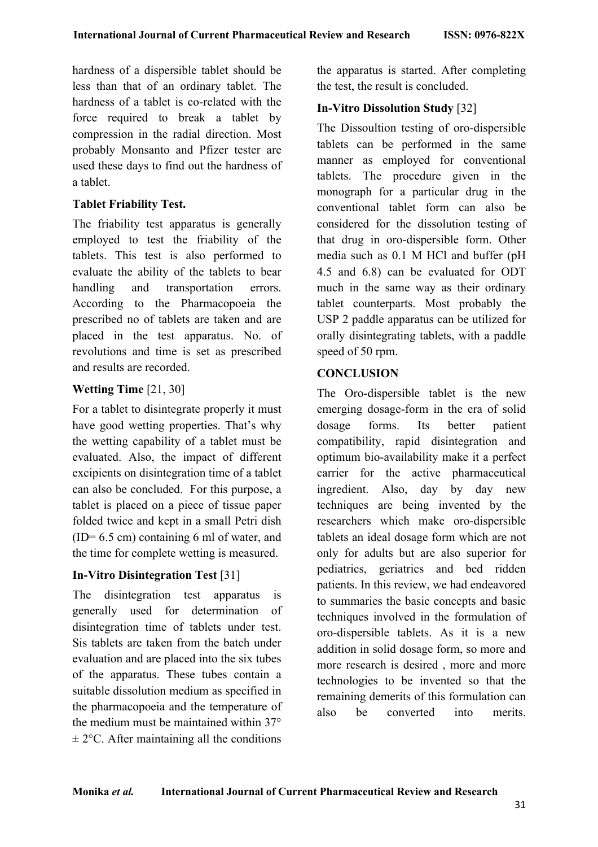hardness of a dispersible tablet should be less than that of an ordinary tablet. The hardness of a tablet is co-related with the force required to break a tablet by compression in the radial direction. Most probably Monsanto and Pfizer tester are used these days to find out the hardness of a tablet.

### **Tablet Friability Test.**

The friability test apparatus is generally employed to test the friability of the tablets. This test is also performed to evaluate the ability of the tablets to bear handling and transportation errors. According to the Pharmacopoeia the prescribed no of tablets are taken and are placed in the test apparatus. No. of revolutions and time is set as prescribed and results are recorded.

### **Wetting Time** [21, 30]

For a tablet to disintegrate properly it must have good wetting properties. That's why the wetting capability of a tablet must be evaluated. Also, the impact of different excipients on disintegration time of a tablet can also be concluded. For this purpose, a tablet is placed on a piece of tissue paper folded twice and kept in a small Petri dish  $(ID= 6.5 cm)$  containing 6 ml of water, and the time for complete wetting is measured.

#### **In-Vitro Disintegration Test** [31]

The disintegration test apparatus is generally used for determination of disintegration time of tablets under test. Sis tablets are taken from the batch under evaluation and are placed into the six tubes of the apparatus. These tubes contain a suitable dissolution medium as specified in the pharmacopoeia and the temperature of the medium must be maintained within 37°  $\pm$  2°C. After maintaining all the conditions

the apparatus is started. After completing the test, the result is concluded.

### **In-Vitro Dissolution Study** [32]

The Dissoultion testing of oro-dispersible tablets can be performed in the same manner as employed for conventional tablets. The procedure given in the monograph for a particular drug in the conventional tablet form can also be considered for the dissolution testing of that drug in oro-dispersible form. Other media such as 0.1 M HCl and buffer (pH 4.5 and 6.8) can be evaluated for ODT much in the same way as their ordinary tablet counterparts. Most probably the USP 2 paddle apparatus can be utilized for orally disintegrating tablets, with a paddle speed of 50 rpm.

### **CONCLUSION**

The Oro-dispersible tablet is the new emerging dosage-form in the era of solid dosage forms. Its better patient compatibility, rapid disintegration and optimum bio-availability make it a perfect carrier for the active pharmaceutical ingredient. Also, day by day new techniques are being invented by the researchers which make oro-dispersible tablets an ideal dosage form which are not only for adults but are also superior for pediatrics, geriatrics and bed ridden patients. In this review, we had endeavored to summaries the basic concepts and basic techniques involved in the formulation of oro-dispersible tablets. As it is a new addition in solid dosage form, so more and more research is desired , more and more technologies to be invented so that the remaining demerits of this formulation can also be converted into merits.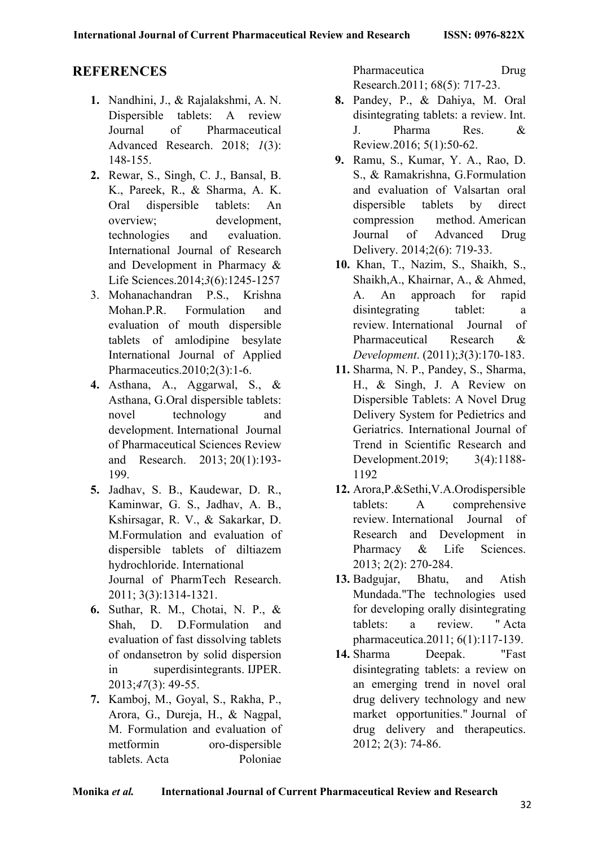# **REFERENCES**

- **1.** Nandhini, J., & Rajalakshmi, A. N. Dispersible tablets: A review Journal of Pharmaceutical Advanced Research. 2018; *1*(3): 148-155.
- **2.** Rewar, S., Singh, C. J., Bansal, B. K., Pareek, R., & Sharma, A. K. Oral dispersible tablets: An overview; development, technologies and evaluation. International Journal of Research and Development in Pharmacy & Life Sciences.2014;*3*(6):1245-1257
- 3. Mohanachandran P.S., Krishna Mohan.P.R. Formulation and evaluation of mouth dispersible tablets of amlodipine besylate International Journal of Applied Pharmaceutics.2010;2(3):1-6.
- **4.** Asthana, A., Aggarwal, S., & Asthana, G.Oral dispersible tablets: novel technology and development. International Journal of Pharmaceutical Sciences Review and Research. 2013; 20(1):193- 199.
- **5.** Jadhav, S. B., Kaudewar, D. R., Kaminwar, G. S., Jadhav, A. B., Kshirsagar, R. V., & Sakarkar, D. M.Formulation and evaluation of dispersible tablets of diltiazem hydrochloride. International Journal of PharmTech Research. 2011; 3(3):1314-1321.
- **6.** Suthar, R. M., Chotai, N. P., & Shah, D. D.Formulation and evaluation of fast dissolving tablets of ondansetron by solid dispersion in superdisintegrants. IJPER. 2013;*47*(3): 49-55.
- **7.** Kamboj, M., Goyal, S., Rakha, P., Arora, G., Dureja, H., & Nagpal, M. Formulation and evaluation of metformin oro-dispersible tablets. Acta Poloniae

Pharmaceutica Drug Research.2011; 68(5): 717-23.

- **8.** Pandey, P., & Dahiya, M. Oral disintegrating tablets: a review. Int. J. Pharma Res. & Review.2016; 5(1):50-62.
- **9.** Ramu, S., Kumar, Y. A., Rao, D. S., & Ramakrishna, G.Formulation and evaluation of Valsartan oral dispersible tablets by direct compression method. American Journal of Advanced Drug Delivery. 2014;2(6): 719-33.
- **10.** Khan, T., Nazim, S., Shaikh, S., Shaikh,A., Khairnar, A., & Ahmed, A. An approach for rapid disintegrating tablet: a review. International Journal of Pharmaceutical Research & *Development*. (2011);*3*(3):170-183.
- **11.** Sharma, N. P., Pandey, S., Sharma, H., & Singh, J. A Review on Dispersible Tablets: A Novel Drug Delivery System for Pedietrics and Geriatrics. International Journal of Trend in Scientific Research and Development.2019; 3(4):1188- 1192
- **12.** Arora,P.&Sethi,V.A.Orodispersible tablets: A comprehensive review. International Journal of Research and Development in Pharmacy & Life Sciences. 2013; 2(2): 270-284.
- **13.** Badgujar, Bhatu, and Atish Mundada."The technologies used for developing orally disintegrating tablets: a review. " Acta pharmaceutica.2011; 6(1):117-139.
- **14.** Sharma Deepak. "Fast disintegrating tablets: a review on an emerging trend in novel oral drug delivery technology and new market opportunities." Journal of drug delivery and therapeutics. 2012; 2(3): 74-86.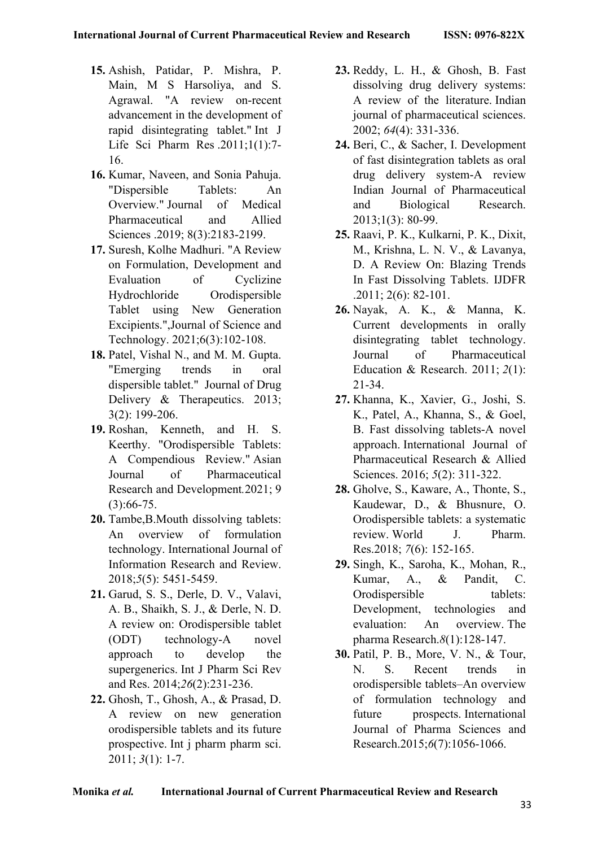- **15.** Ashish, Patidar, P. Mishra, P. Main, M S Harsoliya, and S. Agrawal. "A review on-recent advancement in the development of rapid disintegrating tablet." Int J Life Sci Pharm Res .2011;1(1):7- 16.
- **16.** Kumar, Naveen, and Sonia Pahuja. "Dispersible Tablets: An Overview." Journal of Medical Pharmaceutical and Allied Sciences .2019; 8(3):2183-2199.
- **17.** Suresh, Kolhe Madhuri. "A Review on Formulation, Development and Evaluation of Cyclizine Hydrochloride Orodispersible Tablet using New Generation Excipients.",Journal of Science and Technology. 2021;6(3):102-108.
- **18.** Patel, Vishal N., and M. M. Gupta. "Emerging trends in oral dispersible tablet." Journal of Drug Delivery & Therapeutics. 2013; 3(2): 199-206.
- **19.** Roshan, Kenneth, and H. S. Keerthy. "Orodispersible Tablets: A Compendious Review." Asian Journal of Pharmaceutical Research and Development*.*2021; 9 (3):66-75.
- **20.** Tambe,B.Mouth dissolving tablets: An overview of formulation technology. International Journal of Information Research and Review. 2018;*5*(5): 5451-5459.
- **21.** Garud, S. S., Derle, D. V., Valavi, A. B., Shaikh, S. J., & Derle, N. D. A review on: Orodispersible tablet (ODT) technology-A novel approach to develop the supergenerics. Int J Pharm Sci Rev and Res. 2014;*26*(2):231-236.
- **22.** Ghosh, T., Ghosh, A., & Prasad, D. A review on new generation orodispersible tablets and its future prospective. Int j pharm pharm sci. 2011; *3*(1): 1-7.
- **23.** Reddy, L. H., & Ghosh, B. Fast dissolving drug delivery systems: A review of the literature. Indian journal of pharmaceutical sciences. 2002; *64*(4): 331-336.
- **24.** Beri, C., & Sacher, I. Development of fast disintegration tablets as oral drug delivery system-A review Indian Journal of Pharmaceutical and Biological Research. 2013;1(3): 80-99.
- **25.** Raavi, P. K., Kulkarni, P. K., Dixit, M., Krishna, L. N. V., & Lavanya, D. A Review On: Blazing Trends In Fast Dissolving Tablets. IJDFR .2011; 2(6): 82-101.
- **26.** Nayak, A. K., & Manna, K. Current developments in orally disintegrating tablet technology. Journal of Pharmaceutical Education & Research. 2011; *2*(1): 21-34.
- **27.** Khanna, K., Xavier, G., Joshi, S. K., Patel, A., Khanna, S., & Goel, B. Fast dissolving tablets-A novel approach. International Journal of Pharmaceutical Research & Allied Sciences. 2016; *5*(2): 311-322.
- **28.** Gholve, S., Kaware, A., Thonte, S., Kaudewar, D., & Bhusnure, O. Orodispersible tablets: a systematic review. World J. Pharm. Res.2018; *7*(6): 152-165.
- **29.** Singh, K., Saroha, K., Mohan, R., Kumar, A., & Pandit, C. Orodispersible tablets: Development, technologies and evaluation: An overview. The pharma Research.*8*(1):128-147.
- **30.** Patil, P. B., More, V. N., & Tour, N. S. Recent trends in orodispersible tablets–An overview of formulation technology and future prospects. International Journal of Pharma Sciences and Research.2015;*6*(7):1056-1066.